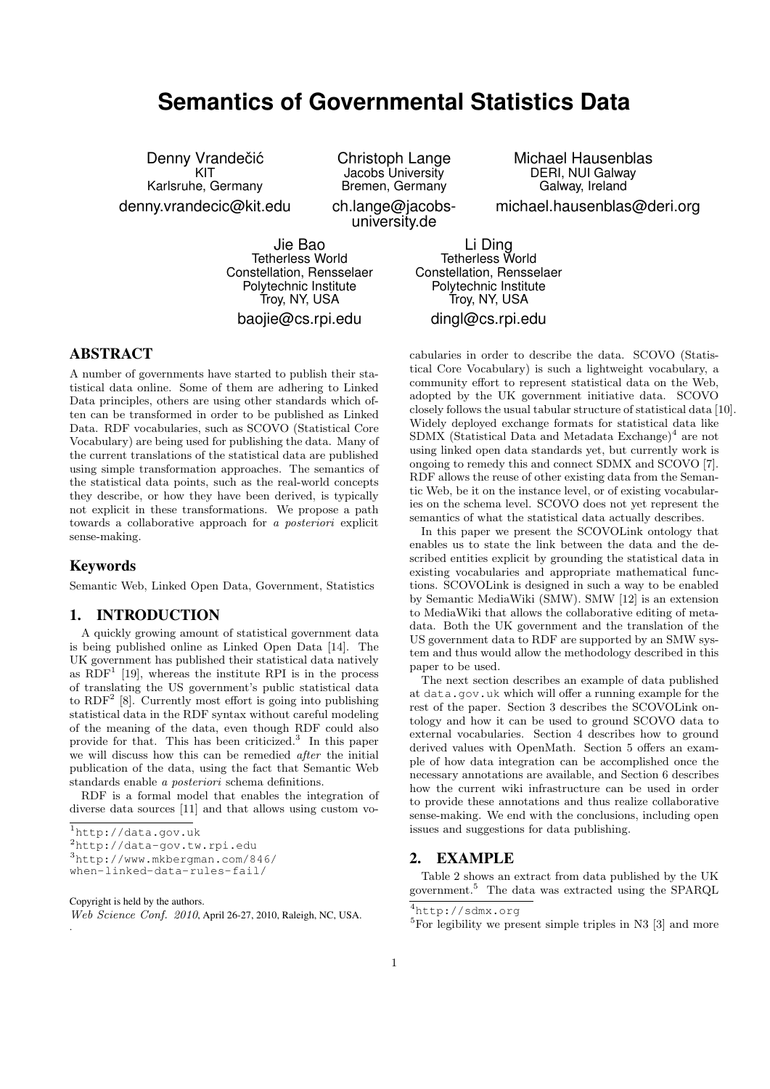# **Semantics of Governmental Statistics Data**

Denny Vrandečić KIT Karlsruhe, Germany denny.vrandecic@kit.edu

Christoph Lange Jacobs University Bremen, Germany ch.lange@jacobsuniversity.de

Michael Hausenblas DERI, NUI Galway Galway, Ireland michael.hausenblas@deri.org

Jie Bao Tetherless World Constellation, Rensselaer Polytechnic Institute Troy, NY, USA

baojie@cs.rpi.edu

Li Ding Tetherless World Constellation, Rensselaer Polytechnic Institute Troy, NY, USA

## dingl@cs.rpi.edu

## ABSTRACT

A number of governments have started to publish their statistical data online. Some of them are adhering to Linked Data principles, others are using other standards which often can be transformed in order to be published as Linked Data. RDF vocabularies, such as SCOVO (Statistical Core Vocabulary) are being used for publishing the data. Many of the current translations of the statistical data are published using simple transformation approaches. The semantics of the statistical data points, such as the real-world concepts they describe, or how they have been derived, is typically not explicit in these transformations. We propose a path towards a collaborative approach for a posteriori explicit sense-making.

## Keywords

Semantic Web, Linked Open Data, Government, Statistics

# 1. INTRODUCTION

A quickly growing amount of statistical government data is being published online as Linked Open Data [14]. The UK government has published their statistical data natively as  $RDF<sup>1</sup>$  [19], whereas the institute RPI is in the process of translating the US government's public statistical data to  $RDF<sup>2</sup>$  [8]. Currently most effort is going into publishing statistical data in the RDF syntax without careful modeling of the meaning of the data, even though RDF could also provide for that. This has been criticized.<sup>3</sup> In this paper we will discuss how this can be remedied after the initial publication of the data, using the fact that Semantic Web standards enable a posteriori schema definitions.

RDF is a formal model that enables the integration of diverse data sources [11] and that allows using custom vo-

.

cabularies in order to describe the data. SCOVO (Statistical Core Vocabulary) is such a lightweight vocabulary, a community effort to represent statistical data on the Web, adopted by the UK government initiative data. SCOVO closely follows the usual tabular structure of statistical data [10]. Widely deployed exchange formats for statistical data like  $SDMX$  (Statistical Data and Metadata Exchange)<sup>4</sup> are not using linked open data standards yet, but currently work is ongoing to remedy this and connect SDMX and SCOVO [7]. RDF allows the reuse of other existing data from the Semantic Web, be it on the instance level, or of existing vocabularies on the schema level. SCOVO does not yet represent the semantics of what the statistical data actually describes.

In this paper we present the SCOVOLink ontology that enables us to state the link between the data and the described entities explicit by grounding the statistical data in existing vocabularies and appropriate mathematical functions. SCOVOLink is designed in such a way to be enabled by Semantic MediaWiki (SMW). SMW [12] is an extension to MediaWiki that allows the collaborative editing of metadata. Both the UK government and the translation of the US government data to RDF are supported by an SMW system and thus would allow the methodology described in this paper to be used.

The next section describes an example of data published at data.gov.uk which will offer a running example for the rest of the paper. Section 3 describes the SCOVOLink ontology and how it can be used to ground SCOVO data to external vocabularies. Section 4 describes how to ground derived values with OpenMath. Section 5 offers an example of how data integration can be accomplished once the necessary annotations are available, and Section 6 describes how the current wiki infrastructure can be used in order to provide these annotations and thus realize collaborative sense-making. We end with the conclusions, including open issues and suggestions for data publishing.

## 2. EXAMPLE

Table 2 shows an extract from data published by the UK government.<sup>5</sup> The data was extracted using the SPARQL

<sup>1</sup>http://data.gov.uk

<sup>2</sup>http://data-gov.tw.rpi.edu

<sup>3</sup>http://www.mkbergman.com/846/

when-linked-data-rules-fail/

Copyright is held by the authors.

Web Science Conf. 2010, April 26-27, 2010, Raleigh, NC, USA.

<sup>4</sup>http://sdmx.org

 $5$ For legibility we present simple triples in N3 [3] and more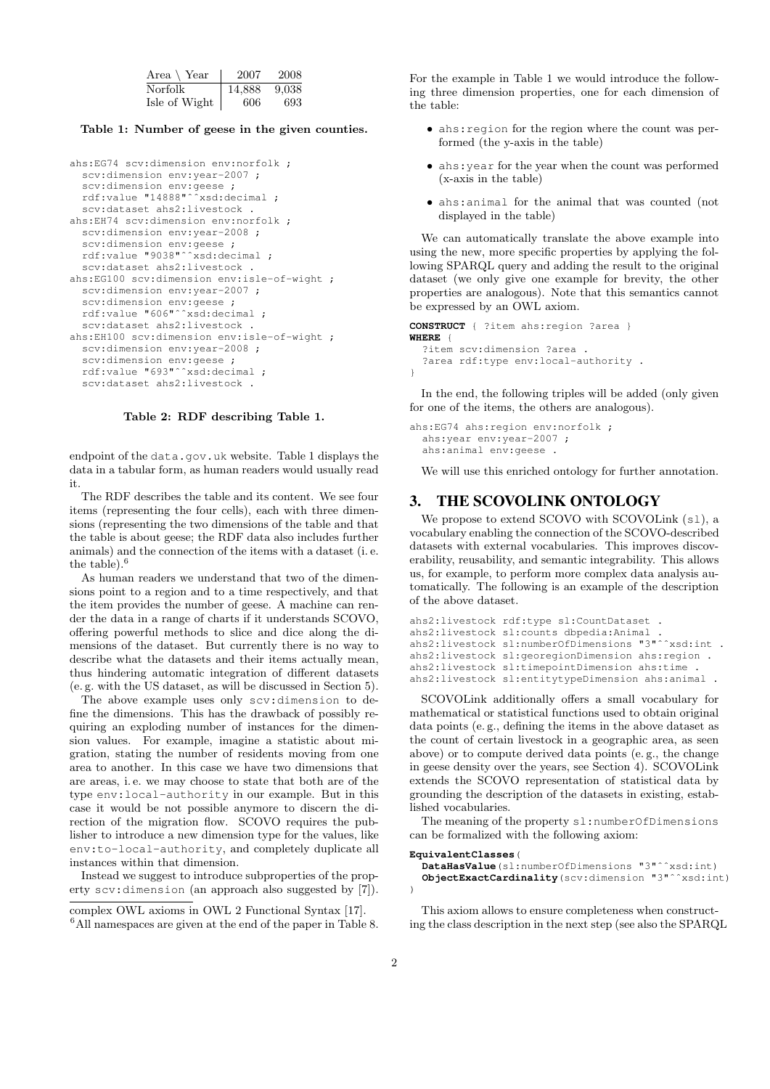| Area $\setminus$ Year | 2007   | 2008  |
|-----------------------|--------|-------|
| Norfolk               | 14,888 | 9.038 |
| Isle of Wight         | 606.   | 693   |

Table 1: Number of geese in the given counties.

```
ahs:EG74 scv:dimension env:norfolk ;
  scv:dimension env:year-2007 ;
  scv:dimension env:geese ;
  rdf:value "14888"ˆˆxsd:decimal ;
  scv:dataset ahs2:livestock .
ahs:EH74 scv:dimension env:norfolk ;
  scv:dimension env:year-2008 ;
  scv:dimension env:geese ;
  rdf:value "9038"ˆˆxsd:decimal ;
  scv:dataset ahs2:livestock .
ahs:EG100 scv:dimension env:isle-of-wight ;
  scv:dimension env:year-2007 ;
  scv:dimension env:geese ;
  rdf:value "606"ˆˆxsd:decimal ;
  scv:dataset ahs2:livestock .
ahs:EH100 scv:dimension env:isle-of-wight ;
  scv:dimension env:year-2008 ;
  scv:dimension env:geese ;
  rdf:value "693"ˆˆxsd:decimal ;
  scv:dataset ahs2:livestock .
```
#### Table 2: RDF describing Table 1.

endpoint of the data.gov.uk website. Table 1 displays the data in a tabular form, as human readers would usually read it.

The RDF describes the table and its content. We see four items (representing the four cells), each with three dimensions (representing the two dimensions of the table and that the table is about geese; the RDF data also includes further animals) and the connection of the items with a dataset (i. e. the table).<sup>6</sup>

As human readers we understand that two of the dimensions point to a region and to a time respectively, and that the item provides the number of geese. A machine can render the data in a range of charts if it understands SCOVO, offering powerful methods to slice and dice along the dimensions of the dataset. But currently there is no way to describe what the datasets and their items actually mean, thus hindering automatic integration of different datasets (e. g. with the US dataset, as will be discussed in Section 5).

The above example uses only scv:dimension to define the dimensions. This has the drawback of possibly requiring an exploding number of instances for the dimension values. For example, imagine a statistic about migration, stating the number of residents moving from one area to another. In this case we have two dimensions that are areas, i. e. we may choose to state that both are of the type env:local-authority in our example. But in this case it would be not possible anymore to discern the direction of the migration flow. SCOVO requires the publisher to introduce a new dimension type for the values, like env:to-local-authority, and completely duplicate all instances within that dimension.

Instead we suggest to introduce subproperties of the property scv:dimension (an approach also suggested by [7]).

For the example in Table 1 we would introduce the following three dimension properties, one for each dimension of the table:

- ahs:region for the region where the count was performed (the y-axis in the table)
- ahs:year for the year when the count was performed (x-axis in the table)
- ahs:animal for the animal that was counted (not displayed in the table)

We can automatically translate the above example into using the new, more specific properties by applying the following SPARQL query and adding the result to the original dataset (we only give one example for brevity, the other properties are analogous). Note that this semantics cannot be expressed by an OWL axiom.

```
CONSTRUCT { ?item ahs:region ?area }
WHERE {
  ?item scv:dimension ?area .
  ?area rdf:type env:local-authority .
}
```
In the end, the following triples will be added (only given for one of the items, the others are analogous).

```
ahs:EG74 ahs:region env:norfolk ;
 ahs:year env:year-2007 ;
 ahs:animal env:geese .
```
We will use this enriched ontology for further annotation.

## 3. THE SCOVOLINK ONTOLOGY

We propose to extend SCOVO with SCOVOLink (s1), a vocabulary enabling the connection of the SCOVO-described datasets with external vocabularies. This improves discoverability, reusability, and semantic integrability. This allows us, for example, to perform more complex data analysis automatically. The following is an example of the description of the above dataset.

```
ahs2:livestock rdf:type sl:CountDataset .
ahs2:livestock sl:counts dbpedia:Animal .
ahs2:livestock sl:numberOfDimensions "3"^^xsd:int .
ahs2:livestock sl:georegionDimension ahs:region .
ahs2:livestock sl:timepointDimension ahs:time .
ahs2:livestock sl:entitytypeDimension ahs:animal .
```
SCOVOLink additionally offers a small vocabulary for mathematical or statistical functions used to obtain original data points (e. g., defining the items in the above dataset as the count of certain livestock in a geographic area, as seen above) or to compute derived data points (e. g., the change in geese density over the years, see Section 4). SCOVOLink extends the SCOVO representation of statistical data by grounding the description of the datasets in existing, established vocabularies.

The meaning of the property sl:numberOfDimensions can be formalized with the following axiom:

#### **EquivalentClasses**(

```
DataHasValue(sl:numberOfDimensions "3"ˆˆxsd:int)
 ObjectExactCardinality(scv:dimension "3"ˆˆxsd:int)
)
```
This axiom allows to ensure completeness when constructing the class description in the next step (see also the SPARQL

complex OWL axioms in OWL 2 Functional Syntax [17]. <sup>6</sup>All namespaces are given at the end of the paper in Table 8.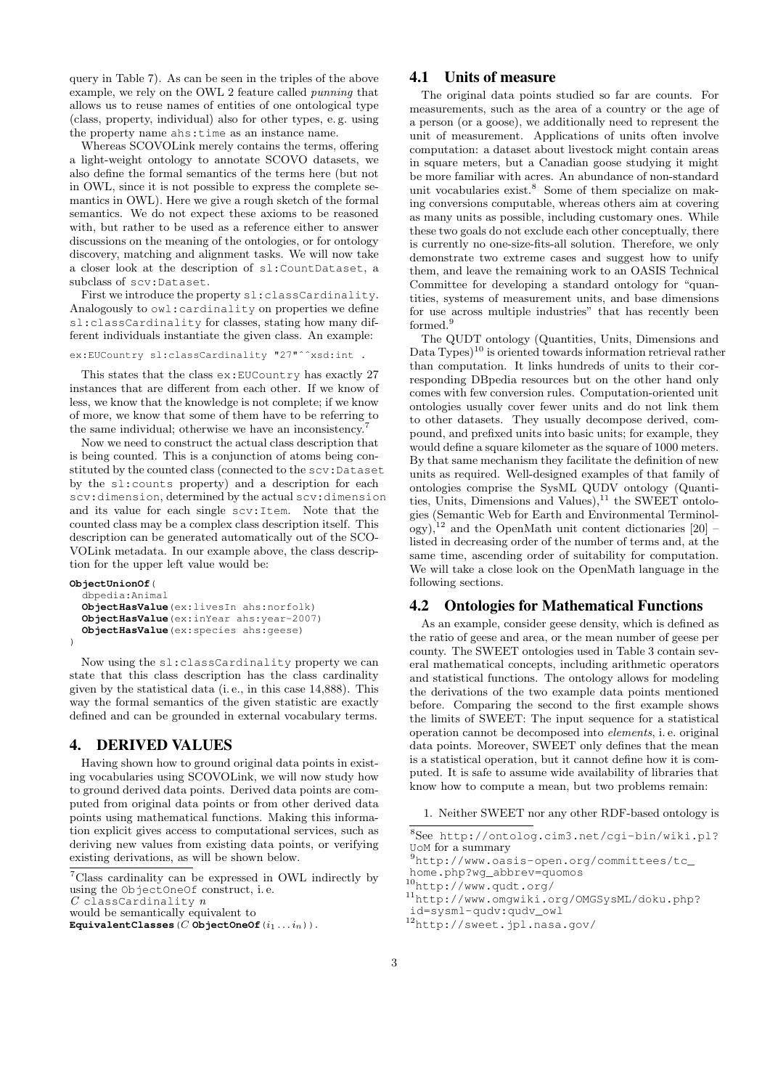query in Table 7). As can be seen in the triples of the above example, we rely on the OWL 2 feature called punning that allows us to reuse names of entities of one ontological type (class, property, individual) also for other types, e. g. using the property name ahs:time as an instance name.

Whereas SCOVOLink merely contains the terms, offering a light-weight ontology to annotate SCOVO datasets, we also define the formal semantics of the terms here (but not in OWL, since it is not possible to express the complete semantics in OWL). Here we give a rough sketch of the formal semantics. We do not expect these axioms to be reasoned with, but rather to be used as a reference either to answer discussions on the meaning of the ontologies, or for ontology discovery, matching and alignment tasks. We will now take a closer look at the description of sl:CountDataset, a subclass of scv:Dataset.

First we introduce the property sl:classCardinality. Analogously to owl:cardinality on properties we define sl:classCardinality for classes, stating how many different individuals instantiate the given class. An example:

```
ex:EUCountry sl:classCardinality "27"^^xsd:int .
```
This states that the class ex:EUCountry has exactly 27 instances that are different from each other. If we know of less, we know that the knowledge is not complete; if we know of more, we know that some of them have to be referring to the same individual; otherwise we have an inconsistency.<sup>7</sup>

Now we need to construct the actual class description that is being counted. This is a conjunction of atoms being constituted by the counted class (connected to the scv:Dataset by the sl:counts property) and a description for each scv:dimension, determined by the actual scv:dimension and its value for each single scv:Item. Note that the counted class may be a complex class description itself. This description can be generated automatically out of the SCO-VOLink metadata. In our example above, the class description for the upper left value would be:

```
ObjectUnionOf(
  dbpedia:Animal
  ObjectHasValue(ex:livesIn ahs:norfolk)
  ObjectHasValue(ex:inYear ahs:year-2007)
  ObjectHasValue(ex:species ahs:geese)
\lambda
```
Now using the sl:classCardinality property we can state that this class description has the class cardinality given by the statistical data (i. e., in this case 14,888). This way the formal semantics of the given statistic are exactly defined and can be grounded in external vocabulary terms.

## 4. DERIVED VALUES

Having shown how to ground original data points in existing vocabularies using SCOVOLink, we will now study how to ground derived data points. Derived data points are computed from original data points or from other derived data points using mathematical functions. Making this information explicit gives access to computational services, such as deriving new values from existing data points, or verifying existing derivations, as will be shown below.

## 4.1 Units of measure

The original data points studied so far are counts. For measurements, such as the area of a country or the age of a person (or a goose), we additionally need to represent the unit of measurement. Applications of units often involve computation: a dataset about livestock might contain areas in square meters, but a Canadian goose studying it might be more familiar with acres. An abundance of non-standard unit vocabularies exist.<sup>8</sup> Some of them specialize on making conversions computable, whereas others aim at covering as many units as possible, including customary ones. While these two goals do not exclude each other conceptually, there is currently no one-size-fits-all solution. Therefore, we only demonstrate two extreme cases and suggest how to unify them, and leave the remaining work to an OASIS Technical Committee for developing a standard ontology for "quantities, systems of measurement units, and base dimensions for use across multiple industries" that has recently been formed.<sup>9</sup>

The QUDT ontology (Quantities, Units, Dimensions and Data  $Tvpes$ <sup>10</sup> is oriented towards information retrieval rather than computation. It links hundreds of units to their corresponding DBpedia resources but on the other hand only comes with few conversion rules. Computation-oriented unit ontologies usually cover fewer units and do not link them to other datasets. They usually decompose derived, compound, and prefixed units into basic units; for example, they would define a square kilometer as the square of 1000 meters. By that same mechanism they facilitate the definition of new units as required. Well-designed examples of that family of ontologies comprise the SysML QUDV ontology (Quantities, Units, Dimensions and Values),  $^{11}$  the SWEET ontologies (Semantic Web for Earth and Environmental Terminol- $\log y$ ,<sup>12</sup> and the OpenMath unit content dictionaries [20] – listed in decreasing order of the number of terms and, at the same time, ascending order of suitability for computation. We will take a close look on the OpenMath language in the following sections.

## 4.2 Ontologies for Mathematical Functions

As an example, consider geese density, which is defined as the ratio of geese and area, or the mean number of geese per county. The SWEET ontologies used in Table 3 contain several mathematical concepts, including arithmetic operators and statistical functions. The ontology allows for modeling the derivations of the two example data points mentioned before. Comparing the second to the first example shows the limits of SWEET: The input sequence for a statistical operation cannot be decomposed into elements, i. e. original data points. Moreover, SWEET only defines that the mean is a statistical operation, but it cannot define how it is computed. It is safe to assume wide availability of libraries that know how to compute a mean, but two problems remain:

1. Neither SWEET nor any other RDF-based ontology is

```
8See http://ontolog.cim3.net/cgi-bin/wiki.pl?
UoM for a summary
```

```
9http://www.oasis-open.org/committees/tc_
home.php?wg_abbrev=quomos
```

```
10http://www.qudt.org/
```

```
11http://www.omgwiki.org/OMGSysML/doku.php?
```

```
id=sysml-qudv:qudv_owl
```
<sup>7</sup>Class cardinality can be expressed in OWL indirectly by using the ObjectOneOf construct, i. e.

 $C$  classCardinality  $n$ 

would be semantically equivalent to

 $\texttt{EquivalentClasses}(C \texttt{ObjectOneOf}(i_1 \ldots i_n))$ .

<sup>12</sup>http://sweet.jpl.nasa.gov/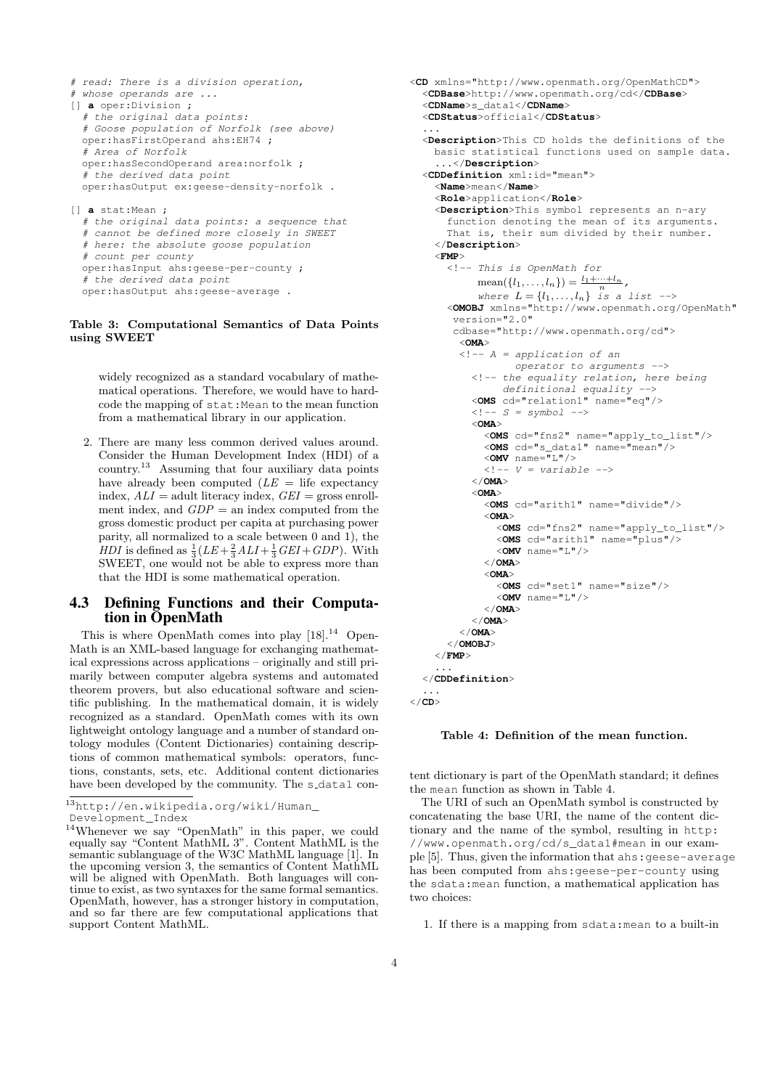```
# read: There is a division operation,
# whose operands are ...
[] a oper:Division ;
  # the original data points:
  # Goose population of Norfolk (see above)
 oper:hasFirstOperand ahs:EH74 ;
  # Area of Norfolk
 oper:hasSecondOperand area:norfolk ;
  # the derived data point
 oper:hasOutput ex:geese-density-norfolk .
[] a stat:Mean ;
  # the original data points: a sequence that
  # cannot be defined more closely in SWEET
  # here: the absolute goose population
  # count per county
 oper:hasInput ahs:geese-per-county ;
```
## Table 3: Computational Semantics of Data Points using SWEET

# the derived data point

oper:hasOutput ahs:geese-average .

widely recognized as a standard vocabulary of mathematical operations. Therefore, we would have to hardcode the mapping of stat:Mean to the mean function from a mathematical library in our application.

2. There are many less common derived values around. Consider the Human Development Index (HDI) of a country.<sup>13</sup> Assuming that four auxiliary data points have already been computed  $(LE = \text{life } \text{expectancy})$ index,  $ALI =$  adult literacy index,  $GEI =$  gross enrollment index, and  $GDP =$  an index computed from the gross domestic product per capita at purchasing power parity, all normalized to a scale between 0 and 1), the *HDI* is defined as  $\frac{1}{3}(LE + \frac{2}{3}ALI + \frac{1}{3}GEI + GDP)$ . With SWEET, one would not be able to express more than that the HDI is some mathematical operation.

## 4.3 Defining Functions and their Computation in OpenMath

This is where OpenMath comes into play  $[18]$ .<sup>14</sup> Open-Math is an XML-based language for exchanging mathematical expressions across applications – originally and still primarily between computer algebra systems and automated theorem provers, but also educational software and scientific publishing. In the mathematical domain, it is widely recognized as a standard. OpenMath comes with its own lightweight ontology language and a number of standard ontology modules (Content Dictionaries) containing descriptions of common mathematical symbols: operators, functions, constants, sets, etc. Additional content dictionaries have been developed by the community. The s\_data1 con-

```
13http://en.wikipedia.org/wiki/Human_
```

```
Development_Index
```

```
<CD xmlns="http://www.openmath.org/OpenMathCD">
  <CDBase>http://www.openmath.org/cd</CDBase>
  <CDName>s_data1</CDName>
  <CDStatus>official</CDStatus>
  ...
  <Description>This CD holds the definitions of the
    basic statistical functions used on sample data.
    ...</Description>
  <CDDefinition xml:id="mean">
    <Name>mean</Name>
    <Role>application</Role>
    <Description>This symbol represents an n-ary
      function denoting the mean of its arguments.
      That is, their sum divided by their number.
    </Description>
    <FMP>
      <!-- This is OpenMath for
            mean({l_1, ..., l_n}) = \frac{l_1 + ... + l_n}{n},where L = \{l_1, \ldots, l_n\} is a list -->
      <OMOBJ xmlns="http://www.openmath.org/OpenMath"
       version="2.0"
       cdbase="http://www.openmath.org/cd">
         <OMA>
         \langle!-- A = application of an
                  operator to arguments -->
           <!-- the equality relation, here being
                definitional equality -->
           <OMS cd="relation1" name="eq"/>
           \langle !-- S = symbol -->
           <OMA>
             <OMS cd="fns2" name="apply_to_list"/>
             <OMS cd="s_data1" name="mean"/>
             <OMV name="L"/>
             \langle!-- V = variable -->
           </OMA>
           <OMA>
             <OMS cd="arith1" name="divide"/>
             <OMA>
               <OMS cd="fns2" name="apply_to_list"/>
               <OMS cd="arith1" name="plus"/>
               <OMV name="L"/>
             </OMA>
             <OMA>
               <OMS cd="set1" name="size"/>
               <OMV name="L"/>
             </OMA>
           </OMA>
        </OMA>
      </OMOBJ>
    </FMP>
    ...
  </CDDefinition>
  ...
</CD>
```

```
Table 4: Definition of the mean function.
```
tent dictionary is part of the OpenMath standard; it defines the mean function as shown in Table 4.

The URI of such an OpenMath symbol is constructed by concatenating the base URI, the name of the content dictionary and the name of the symbol, resulting in http: //www.openmath.org/cd/s\_data1#mean in our example [5]. Thus, given the information that ahs:geese-average has been computed from ahs:geese-per-county using the sdata:mean function, a mathematical application has two choices:

1. If there is a mapping from sdata:mean to a built-in

<sup>14</sup>Whenever we say "OpenMath" in this paper, we could equally say "Content MathML 3". Content MathML is the semantic sublanguage of the W3C MathML language [1]. In the upcoming version 3, the semantics of Content MathML will be aligned with OpenMath. Both languages will continue to exist, as two syntaxes for the same formal semantics. OpenMath, however, has a stronger history in computation, and so far there are few computational applications that support Content MathML.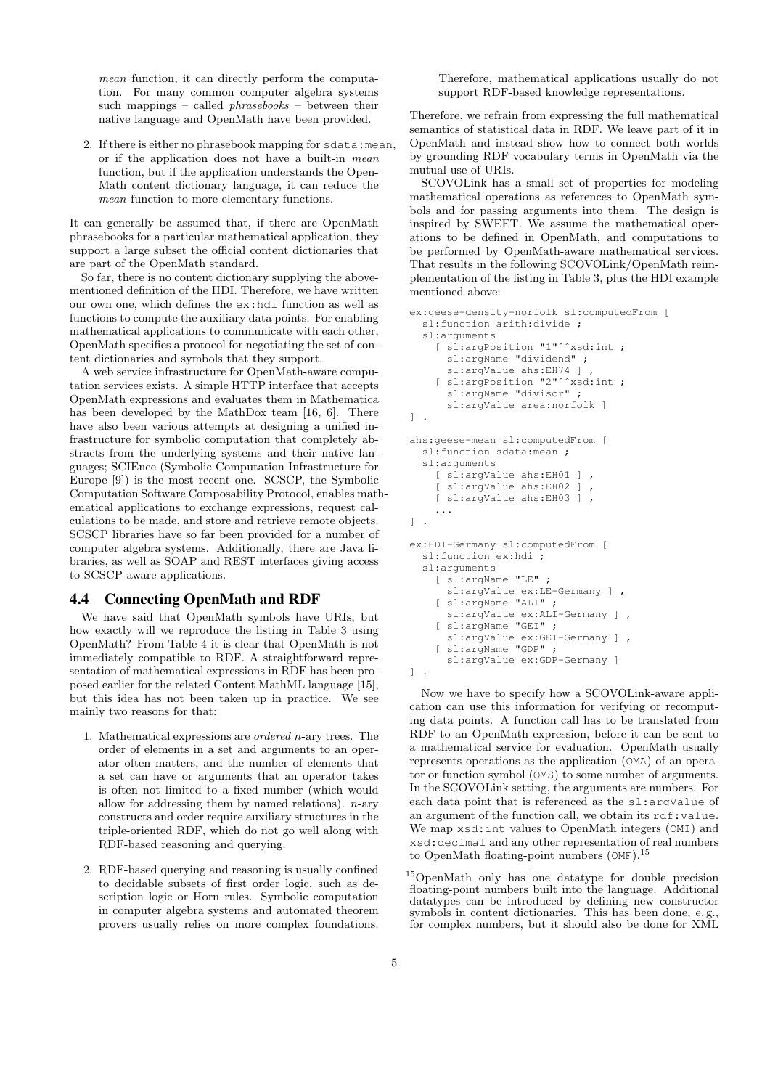mean function, it can directly perform the computation. For many common computer algebra systems such mappings – called  $phrasebooks$  – between their native language and OpenMath have been provided.

2. If there is either no phrasebook mapping for sdata:mean, or if the application does not have a built-in mean function, but if the application understands the Open-Math content dictionary language, it can reduce the mean function to more elementary functions.

It can generally be assumed that, if there are OpenMath phrasebooks for a particular mathematical application, they support a large subset the official content dictionaries that are part of the OpenMath standard.

So far, there is no content dictionary supplying the abovementioned definition of the HDI. Therefore, we have written our own one, which defines the ex:hdi function as well as functions to compute the auxiliary data points. For enabling mathematical applications to communicate with each other, OpenMath specifies a protocol for negotiating the set of content dictionaries and symbols that they support.

A web service infrastructure for OpenMath-aware computation services exists. A simple HTTP interface that accepts OpenMath expressions and evaluates them in Mathematica has been developed by the MathDox team [16, 6]. There have also been various attempts at designing a unified infrastructure for symbolic computation that completely abstracts from the underlying systems and their native languages; SCIEnce (Symbolic Computation Infrastructure for Europe [9]) is the most recent one. SCSCP, the Symbolic Computation Software Composability Protocol, enables mathematical applications to exchange expressions, request calculations to be made, and store and retrieve remote objects. SCSCP libraries have so far been provided for a number of computer algebra systems. Additionally, there are Java libraries, as well as SOAP and REST interfaces giving access to SCSCP-aware applications.

## 4.4 Connecting OpenMath and RDF

We have said that OpenMath symbols have URIs, but how exactly will we reproduce the listing in Table 3 using OpenMath? From Table 4 it is clear that OpenMath is not immediately compatible to RDF. A straightforward representation of mathematical expressions in RDF has been proposed earlier for the related Content MathML language [15], but this idea has not been taken up in practice. We see mainly two reasons for that:

- 1. Mathematical expressions are ordered n-ary trees. The order of elements in a set and arguments to an operator often matters, and the number of elements that a set can have or arguments that an operator takes is often not limited to a fixed number (which would allow for addressing them by named relations).  $n$ -ary constructs and order require auxiliary structures in the triple-oriented RDF, which do not go well along with RDF-based reasoning and querying.
- 2. RDF-based querying and reasoning is usually confined to decidable subsets of first order logic, such as description logic or Horn rules. Symbolic computation in computer algebra systems and automated theorem provers usually relies on more complex foundations.

Therefore, mathematical applications usually do not support RDF-based knowledge representations.

Therefore, we refrain from expressing the full mathematical semantics of statistical data in RDF. We leave part of it in OpenMath and instead show how to connect both worlds by grounding RDF vocabulary terms in OpenMath via the mutual use of URIs.

SCOVOLink has a small set of properties for modeling mathematical operations as references to OpenMath symbols and for passing arguments into them. The design is inspired by SWEET. We assume the mathematical operations to be defined in OpenMath, and computations to be performed by OpenMath-aware mathematical services. That results in the following SCOVOLink/OpenMath reimplementation of the listing in Table 3, plus the HDI example mentioned above:

```
ex:geese-density-norfolk sl:computedFrom [
  sl:function arith:divide ;
  sl:arguments
    [ sl:argPosition "1"ˆˆxsd:int ;
      sl:argName "dividend" ;
      sl:argValue ahs:EH74 ]
    [ sl:argPosition "2"ˆˆxsd:int ;
      sl:argName "divisor" ;
      sl:argValue area:norfolk ]
] .
ahs:geese-mean sl:computedFrom [
  sl:function sdata:mean ;
  sl:arguments
    [ sl:argValue ahs:EH01 ] ,
    [ sl:argValue ahs:EH02 ]
    [ sl:argValue ahs:EH03 ] ,
    ...
] .
ex:HDI-Germany sl:computedFrom [
  sl:function ex:hdi ;
  sl:arguments
    [ sl:argName "LE" ;
      sl:argValue ex:LE-Germany ] ,
    [ sl:argName "ALI" ;
      sl:argValue ex:ALI-Germany ] ,
    [ sl:argName "GEI" ;
      sl:argValue ex:GEI-Germany 1
    [ sl:argName "GDP" ;
      sl:argValue ex:GDP-Germany ]
] .
```
Now we have to specify how a SCOVOLink-aware application can use this information for verifying or recomputing data points. A function call has to be translated from RDF to an OpenMath expression, before it can be sent to a mathematical service for evaluation. OpenMath usually represents operations as the application (OMA) of an operator or function symbol (OMS) to some number of arguments. In the SCOVOLink setting, the arguments are numbers. For each data point that is referenced as the sl:argValue of an argument of the function call, we obtain its rdf:value. We map xsd:int values to OpenMath integers (OMI) and xsd:decimal and any other representation of real numbers to OpenMath floating-point numbers (OMF).<sup>15</sup>

<sup>15</sup>OpenMath only has one datatype for double precision floating-point numbers built into the language. Additional datatypes can be introduced by defining new constructor symbols in content dictionaries. This has been done, e. g., for complex numbers, but it should also be done for XML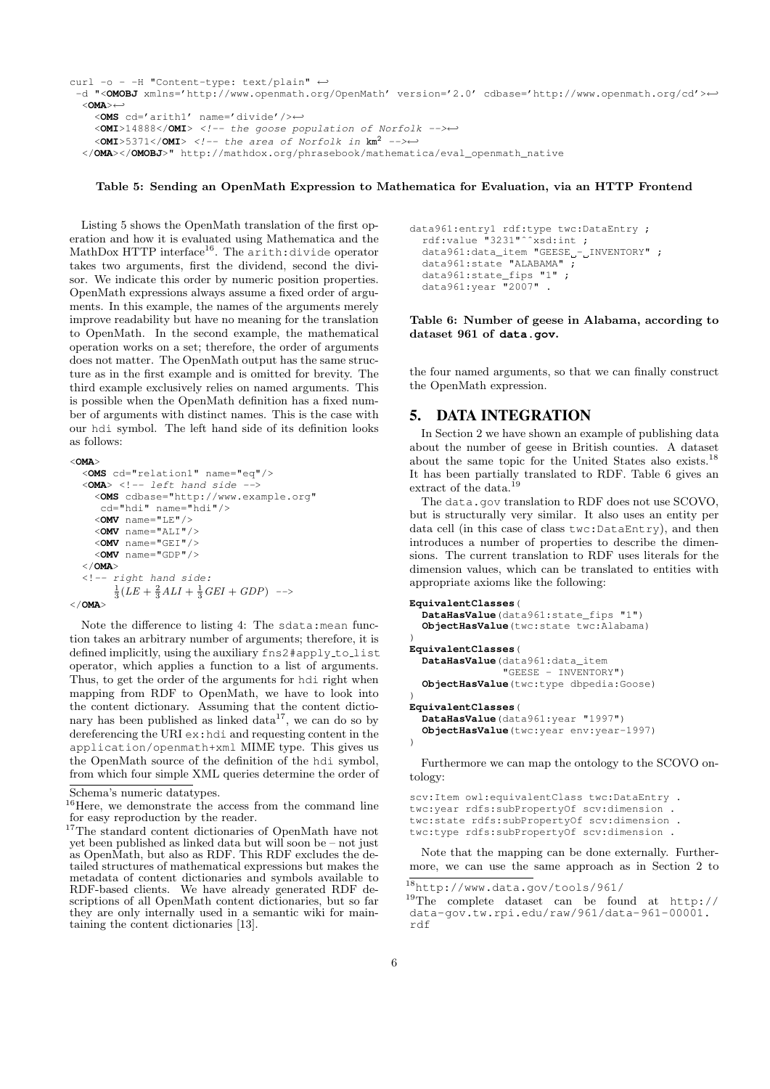```
curl -o - -H "Content-type: text/plain" ←
 -d "<OMOBJ xmlns='http://www.openmath.org/OpenMath' version='2.0' cdbase='http://www.openmath.org/cd'>←-
  <OMA>←-
    <OMS cd='arith1' name='divide'/>←-
    <OMI>14888</OMI> <!-- the goose population of Norfolk -->←-
    \leqOMI>5371</OMI> <!-- the area of Norfolk in km^2 -->←
  </OMA></OMOBJ>" http://mathdox.org/phrasebook/mathematica/eval_openmath_native
```
#### Table 5: Sending an OpenMath Expression to Mathematica for Evaluation, via an HTTP Frontend

Listing 5 shows the OpenMath translation of the first operation and how it is evaluated using Mathematica and the MathDox HTTP interface<sup>16</sup>. The arith:divide operator takes two arguments, first the dividend, second the divisor. We indicate this order by numeric position properties. OpenMath expressions always assume a fixed order of arguments. In this example, the names of the arguments merely improve readability but have no meaning for the translation to OpenMath. In the second example, the mathematical operation works on a set; therefore, the order of arguments does not matter. The OpenMath output has the same structure as in the first example and is omitted for brevity. The third example exclusively relies on named arguments. This is possible when the OpenMath definition has a fixed number of arguments with distinct names. This is the case with our hdi symbol. The left hand side of its definition looks as follows:

```
<OMA>
  <OMS cd="relation1" name="eq"/>
  \langle OMA\rangle \langle | |- left hand side -<OMS cdbase="http://www.example.org"
      cd="hdi" name="hdi"/>
     <OMV name="LE"/>
     <OMV name="ALI"/>
     <OMV name="GEI"/>
     <OMV name="GDP"/>
  </OMA>
  <!-- right hand side:
         \frac{1}{3}(LE + \frac{2}{3}ALI + \frac{1}{3}GEI + GDP) -->
</OMA>
```
Note the difference to listing 4: The sdata:mean function takes an arbitrary number of arguments; therefore, it is defined implicitly, using the auxiliary fns2#apply\_to\_list operator, which applies a function to a list of arguments. Thus, to get the order of the arguments for hdi right when mapping from RDF to OpenMath, we have to look into the content dictionary. Assuming that the content dictionary has been published as linked  $data^{17}$ , we can do so by dereferencing the URI ex:hdi and requesting content in the application/openmath+xml MIME type. This gives us the OpenMath source of the definition of the hdi symbol, from which four simple XML queries determine the order of

```
data961:entry1 rdf:type twc:DataEntry ;
  rdf:value "3231"^^xsd:int;
 data961:data_item "GEESE_-_INVENTORY" ;
 data961:state "ALABAMA" ;
  data961:state_fips "1" ;
 data961:year "2007" .
```
Table 6: Number of geese in Alabama, according to dataset 961 of **data.gov**.

the four named arguments, so that we can finally construct the OpenMath expression.

## 5. DATA INTEGRATION

In Section 2 we have shown an example of publishing data about the number of geese in British counties. A dataset about the same topic for the United States also exists.<sup>18</sup> It has been partially translated to RDF. Table 6 gives an extract of the data.<sup>19</sup>

The data.gov translation to RDF does not use SCOVO, but is structurally very similar. It also uses an entity per data cell (in this case of class twc:DataEntry), and then introduces a number of properties to describe the dimensions. The current translation to RDF uses literals for the dimension values, which can be translated to entities with appropriate axioms like the following:

```
EquivalentClasses(
  DataHasValue(data961:state_fips "1")
  ObjectHasValue(twc:state twc:Alabama)
)
EquivalentClasses(
  DataHasValue(data961:data_item
               "GEESE - INVENTORY")
  ObjectHasValue(twc:type dbpedia:Goose)
)
EquivalentClasses(
  DataHasValue(data961:year "1997")
  ObjectHasValue(twc:year env:year-1997)
)
```
Furthermore we can map the ontology to the SCOVO ontology:

```
scv:Item owl:equivalentClass twc:DataEntry .
twc:year rdfs:subPropertyOf scv:dimension .
twc:state rdfs:subPropertyOf scv:dimension .
twc:type rdfs:subPropertyOf scv:dimension .
```
Note that the mapping can be done externally. Furthermore, we can use the same approach as in Section 2 to

Schema's numeric datatypes.

 $^{16}$ Here, we demonstrate the access from the command line for easy reproduction by the reader.

<sup>&</sup>lt;sup>17</sup>The standard content dictionaries of OpenMath have not yet been published as linked data but will soon be – not just as OpenMath, but also as RDF. This RDF excludes the detailed structures of mathematical expressions but makes the metadata of content dictionaries and symbols available to RDF-based clients. We have already generated RDF descriptions of all OpenMath content dictionaries, but so far they are only internally used in a semantic wiki for maintaining the content dictionaries [13].

<sup>18</sup>http://www.data.gov/tools/961/

<sup>19</sup>The complete dataset can be found at http:// data-gov.tw.rpi.edu/raw/961/data-961-00001. rdf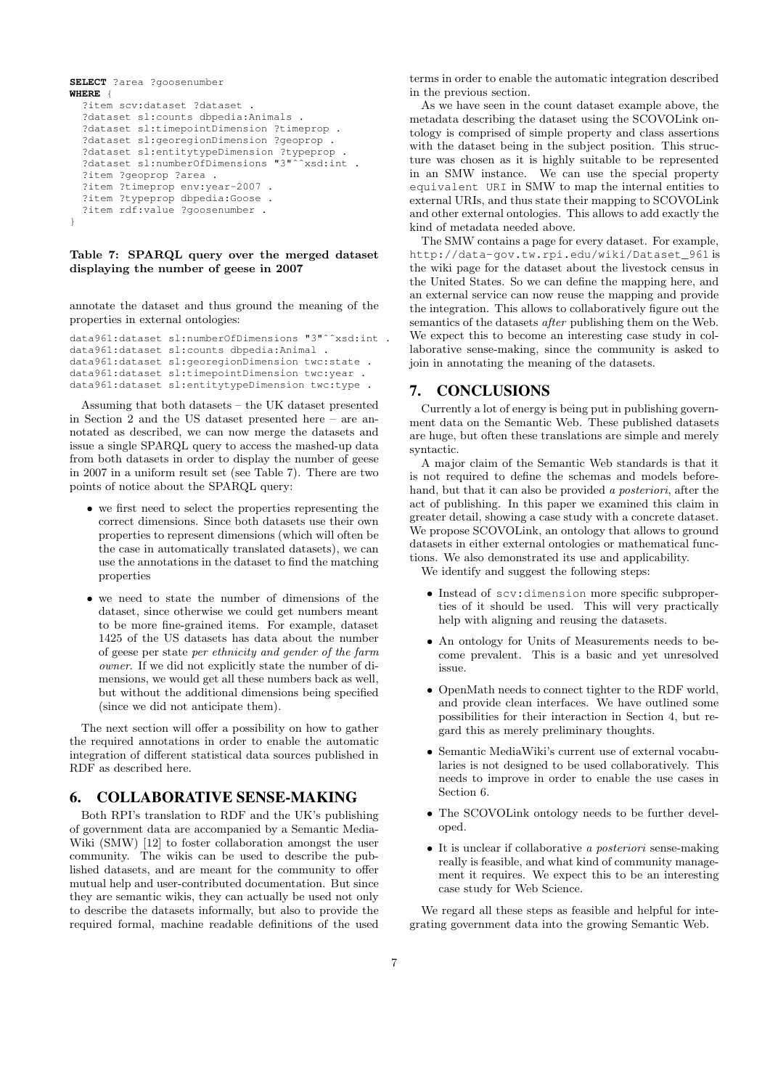```
SELECT ?area ?goosenumber
WHERE {
  ?item scv:dataset ?dataset .
  ?dataset sl:counts dbpedia:Animals .
  ?dataset sl:timepointDimension ?timeprop .
  ?dataset sl:georegionDimension ?geoprop .
  ?dataset sl:entitytypeDimension ?typeprop .
  ?dataset sl:numberOfDimensions "3"^^xsd:int .
  ?item ?geoprop ?area .
  ?item ?timeprop env:year-2007 .
  ?item ?typeprop dbpedia:Goose .
  ?item rdf:value ?goosenumber .
}
```
#### Table 7: SPARQL query over the merged dataset displaying the number of geese in 2007

annotate the dataset and thus ground the meaning of the properties in external ontologies:

```
data961:dataset sl:numberOfDimensions "3"ˆˆxsd:int .
data961:dataset sl:counts dbpedia:Animal .
data961:dataset sl:georegionDimension twc:state .
data961:dataset sl:timepointDimension twc:year .
data961:dataset sl:entitytypeDimension twc:type .
```
Assuming that both datasets – the UK dataset presented in Section 2 and the US dataset presented here – are annotated as described, we can now merge the datasets and issue a single SPARQL query to access the mashed-up data from both datasets in order to display the number of geese in 2007 in a uniform result set (see Table 7). There are two points of notice about the SPARQL query:

- we first need to select the properties representing the correct dimensions. Since both datasets use their own properties to represent dimensions (which will often be the case in automatically translated datasets), we can use the annotations in the dataset to find the matching properties
- we need to state the number of dimensions of the dataset, since otherwise we could get numbers meant to be more fine-grained items. For example, dataset 1425 of the US datasets has data about the number of geese per state per ethnicity and gender of the farm owner. If we did not explicitly state the number of dimensions, we would get all these numbers back as well, but without the additional dimensions being specified (since we did not anticipate them).

The next section will offer a possibility on how to gather the required annotations in order to enable the automatic integration of different statistical data sources published in RDF as described here.

# 6. COLLABORATIVE SENSE-MAKING

Both RPI's translation to RDF and the UK's publishing of government data are accompanied by a Semantic Media-Wiki (SMW) [12] to foster collaboration amongst the user community. The wikis can be used to describe the published datasets, and are meant for the community to offer mutual help and user-contributed documentation. But since they are semantic wikis, they can actually be used not only to describe the datasets informally, but also to provide the required formal, machine readable definitions of the used

terms in order to enable the automatic integration described in the previous section.

As we have seen in the count dataset example above, the metadata describing the dataset using the SCOVOLink ontology is comprised of simple property and class assertions with the dataset being in the subject position. This structure was chosen as it is highly suitable to be represented in an SMW instance. We can use the special property equivalent URI in SMW to map the internal entities to external URIs, and thus state their mapping to SCOVOLink and other external ontologies. This allows to add exactly the kind of metadata needed above.

The SMW contains a page for every dataset. For example, http://data-gov.tw.rpi.edu/wiki/Dataset\_961 is the wiki page for the dataset about the livestock census in the United States. So we can define the mapping here, and an external service can now reuse the mapping and provide the integration. This allows to collaboratively figure out the semantics of the datasets after publishing them on the Web. We expect this to become an interesting case study in collaborative sense-making, since the community is asked to join in annotating the meaning of the datasets.

## 7. CONCLUSIONS

Currently a lot of energy is being put in publishing government data on the Semantic Web. These published datasets are huge, but often these translations are simple and merely syntactic.

A major claim of the Semantic Web standards is that it is not required to define the schemas and models beforehand, but that it can also be provided a posteriori, after the act of publishing. In this paper we examined this claim in greater detail, showing a case study with a concrete dataset. We propose SCOVOLink, an ontology that allows to ground datasets in either external ontologies or mathematical functions. We also demonstrated its use and applicability.

We identify and suggest the following steps:

- Instead of scv:dimension more specific subproperties of it should be used. This will very practically help with aligning and reusing the datasets.
- An ontology for Units of Measurements needs to become prevalent. This is a basic and yet unresolved issue.
- OpenMath needs to connect tighter to the RDF world, and provide clean interfaces. We have outlined some possibilities for their interaction in Section 4, but regard this as merely preliminary thoughts.
- Semantic MediaWiki's current use of external vocabularies is not designed to be used collaboratively. This needs to improve in order to enable the use cases in Section 6.
- The SCOVOLink ontology needs to be further developed.
- It is unclear if collaborative a posteriori sense-making really is feasible, and what kind of community management it requires. We expect this to be an interesting case study for Web Science.

We regard all these steps as feasible and helpful for integrating government data into the growing Semantic Web.